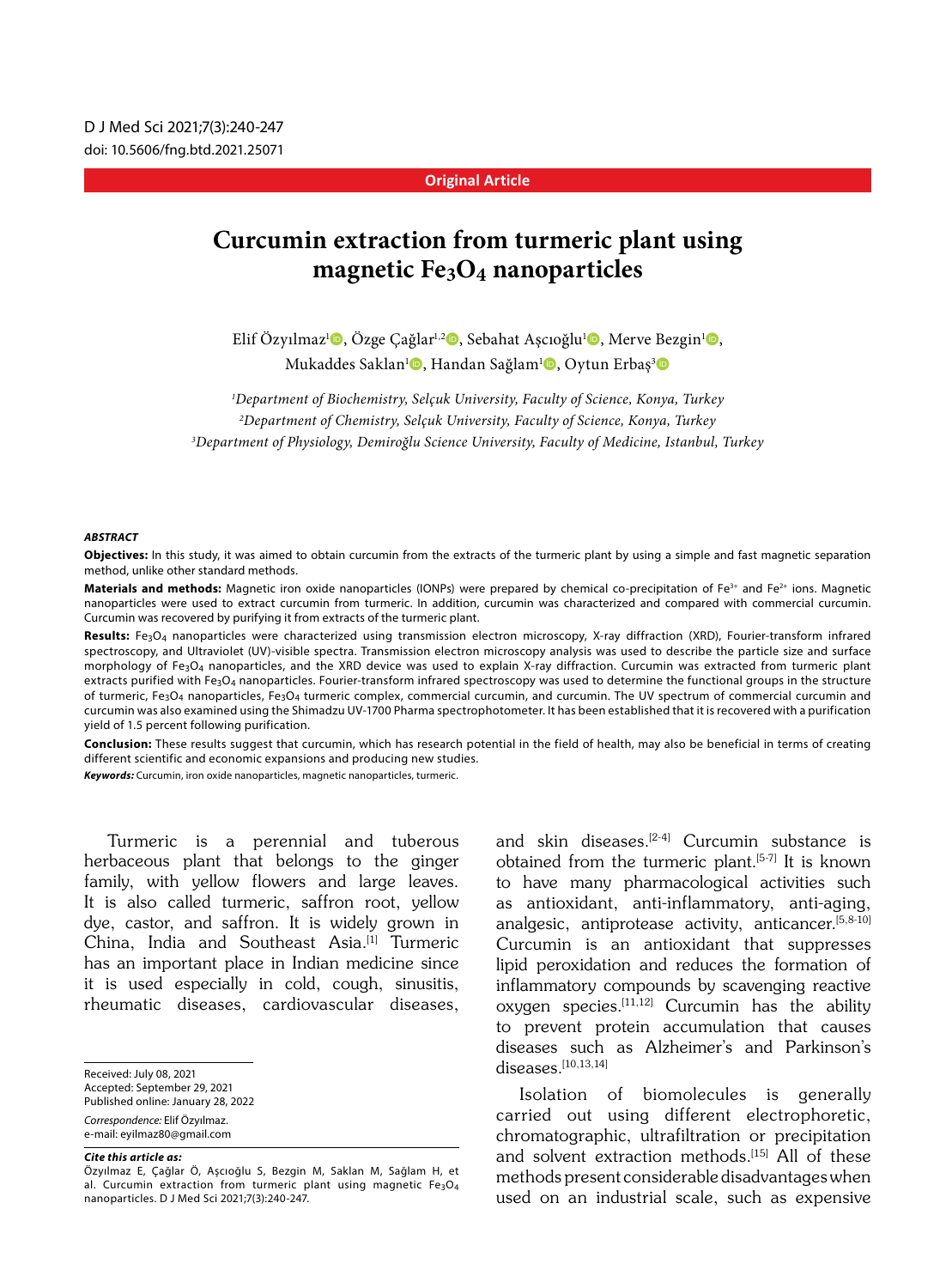#### **Original Article**

# **Curcumin extraction from turmeric plant using magnetic Fe3O4 nanoparticles**

Elif Özyılmaz<sup>ı</sup> (, Özge Çağlar<sup>ı, 2</sup> b, Sebahat Aşcıoğlu<sup>ı</sup> (, Merve Bezgin<sup>ı</sup> (, Mukaddes Saklan<sup>ı</sup>©, Handan Sağlam<sup>ı</sup>©, Oytun Erbaş<sup>3</sup>©

*1 Department of Biochemistry, Selçuk University, Faculty of Science, Konya, Turkey 2 Department of Chemistry, Selçuk University, Faculty of Science, Konya, Turkey 3 Department of Physiology, Demiroğlu Science University, Faculty of Medicine, Istanbul, Turkey*

#### *ABSTRACT*

**Objectives:** In this study, it was aimed to obtain curcumin from the extracts of the turmeric plant by using a simple and fast magnetic separation method, unlike other standard methods.

Materials and methods: Magnetic iron oxide nanoparticles (IONPs) were prepared by chemical co-precipitation of Fe<sup>3+</sup> and Fe<sup>2+</sup> ions. Magnetic nanoparticles were used to extract curcumin from turmeric. In addition, curcumin was characterized and compared with commercial curcumin. Curcumin was recovered by purifying it from extracts of the turmeric plant.

Results: Fe<sub>3</sub>O<sub>4</sub> nanoparticles were characterized using transmission electron microscopy, X-ray diffraction (XRD), Fourier-transform infrared spectroscopy, and Ultraviolet (UV)-visible spectra. Transmission electron microscopy analysis was used to describe the particle size and surface morphology of Fe3O4 nanoparticles, and the XRD device was used to explain X-ray diffraction. Curcumin was extracted from turmeric plant extracts purified with Fe<sub>3</sub>O<sub>4</sub> nanoparticles. Fourier-transform infrared spectroscopy was used to determine the functional groups in the structure of turmeric, Fe<sub>3</sub>O<sub>4</sub> nanoparticles, Fe<sub>3</sub>O<sub>4</sub> turmeric complex, commercial curcumin, and curcumin. The UV spectrum of commercial curcumin and curcumin was also examined using the Shimadzu UV-1700 Pharma spectrophotometer. It has been established that it is recovered with a purification yield of 1.5 percent following purification.

**Conclusion:** These results suggest that curcumin, which has research potential in the field of health, may also be beneficial in terms of creating different scientific and economic expansions and producing new studies.

*Keywords:* Curcumin, iron oxide nanoparticles, magnetic nanoparticles, turmeric.

Turmeric is a perennial and tuberous herbaceous plant that belongs to the ginger family, with yellow flowers and large leaves. It is also called turmeric, saffron root, yellow dye, castor, and saffron. It is widely grown in China, India and Southeast Asia.<sup>[1]</sup> Turmeric has an important place in Indian medicine since it is used especially in cold, cough, sinusitis, rheumatic diseases, cardiovascular diseases,

Received: July 08, 2021

Accepted: September 29, 2021

Published online: January 28, 2022

*Correspondence:* Elif Özyılmaz. e-mail: eyilmaz80@gmail.com

*Cite this article as:*

and skin diseases.<sup>[2-4]</sup> Curcumin substance is obtained from the turmeric plant.<sup>[5-7]</sup> It is known to have many pharmacological activities such as antioxidant, anti-inflammatory, anti-aging, analgesic, antiprotease activity, anticancer.[5,8-10] Curcumin is an antioxidant that suppresses lipid peroxidation and reduces the formation of inflammatory compounds by scavenging reactive oxygen species.<sup>[11,12]</sup> Curcumin has the ability to prevent protein accumulation that causes diseases such as Alzheimer's and Parkinson's diseases. $[10, 13, 14]$ 

Isolation of biomolecules is generally carried out using different electrophoretic, chromatographic, ultrafiltration or precipitation and solvent extraction methods.<sup>[15]</sup> All of these methods present considerable disadvantages when used on an industrial scale, such as expensive

Özyılmaz E, Çağlar Ö, Aşcıoğlu S, Bezgin M, Saklan M, Sağlam H, et al. Curcumin extraction from turmeric plant using magnetic Fe<sub>3</sub>O<sub>4</sub> nanoparticles. D J Med Sci 2021;7(3):240-247.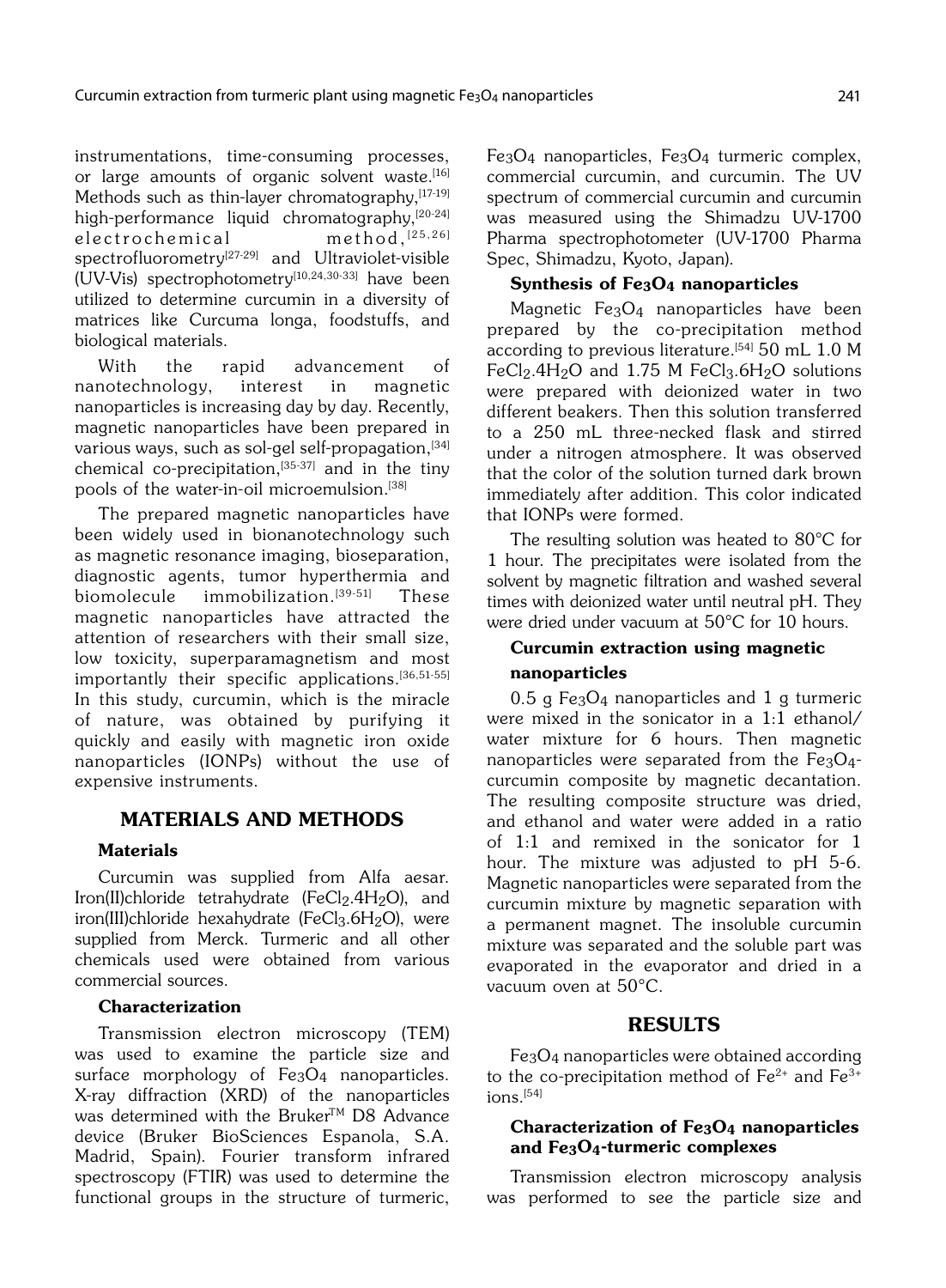instrumentations, time-consuming processes, or large amounts of organic solvent waste.<sup>[16]</sup> Methods such as thin-layer chromatography, [17-19] high-performance liquid chromatography,<sup>[20-24]</sup><br>electrochemical method.<sup>[25,26]</sup> electrochemical spectrofluorometry<sup>[27-29]</sup> and Ultraviolet-visible (UV-Vis) spectrophotometry<sup>[10,24,30-33]</sup> have been utilized to determine curcumin in a diversity of matrices like Curcuma longa, foodstuffs, and biological materials.

With the rapid advancement of nanotechnology, interest in magnetic nanoparticles is increasing day by day. Recently, magnetic nanoparticles have been prepared in various ways, such as sol-gel self-propagation,<sup>[34]</sup> chemical co-precipitation, $[35-37]$  and in the tiny pools of the water-in-oil microemulsion.<sup>[38]</sup>

The prepared magnetic nanoparticles have been widely used in bionanotechnology such as magnetic resonance imaging, bioseparation, diagnostic agents, tumor hyperthermia and biomolecule immobilization.<sup>[39-51]</sup> These magnetic nanoparticles have attracted the attention of researchers with their small size, low toxicity, superparamagnetism and most importantly their specific applications.<sup>[36,51-55]</sup> In this study, curcumin, which is the miracle of nature, was obtained by purifying it quickly and easily with magnetic iron oxide nanoparticles (IONPs) without the use of expensive instruments.

# MATERIALS AND METHODS

#### **Materials**

Curcumin was supplied from Alfa aesar. Iron(II)chloride tetrahydrate (FeCl<sub>2</sub>.4H<sub>2</sub>O), and iron(III)chloride hexahydrate (FeCl<sub>3</sub>.6H<sub>2</sub>O), were supplied from Merck. Turmeric and all other chemicals used were obtained from various commercial sources.

### Characterization

Transmission electron microscopy (TEM) was used to examine the particle size and surface morphology of Fe<sub>3</sub>O<sub>4</sub> nanoparticles. X-ray diffraction (XRD) of the nanoparticles was determined with the Bruker<sup>TM</sup> D8 Advance device (Bruker BioSciences Espanola, S.A. Madrid, Spain). Fourier transform infrared spectroscopy (FTIR) was used to determine the functional groups in the structure of turmeric,

Fe3O4 nanoparticles, Fe3O4 turmeric complex, commercial curcumin, and curcumin. The UV spectrum of commercial curcumin and curcumin was measured using the Shimadzu UV-1700 Pharma spectrophotometer (UV-1700 Pharma Spec, Shimadzu, Kyoto, Japan).

# Synthesis of Fe3O4 nanoparticles

Magnetic Fe3O4 nanoparticles have been prepared by the co-precipitation method according to previous literature.<sup>[54]</sup> 50 mL 1.0 M FeCl<sub>2</sub>.4H<sub>2</sub>O and 1.75 M FeCl<sub>3</sub>.6H<sub>2</sub>O solutions were prepared with deionized water in two different beakers. Then this solution transferred to a 250 mL three-necked flask and stirred under a nitrogen atmosphere. It was observed that the color of the solution turned dark brown immediately after addition. This color indicated that IONPs were formed.

The resulting solution was heated to 80°C for 1 hour. The precipitates were isolated from the solvent by magnetic filtration and washed several times with deionized water until neutral pH. They were dried under vacuum at 50°C for 10 hours.

# Curcumin extraction using magnetic nanoparticles

 $0.5$  g Fe<sub>3</sub>O<sub>4</sub> nanoparticles and 1 g turmeric were mixed in the sonicator in a 1:1 ethanol/ water mixture for 6 hours. Then magnetic nanoparticles were separated from the  $Fe<sub>3</sub>O<sub>4</sub>$ curcumin composite by magnetic decantation. The resulting composite structure was dried, and ethanol and water were added in a ratio of 1:1 and remixed in the sonicator for 1 hour. The mixture was adjusted to pH 5-6. Magnetic nanoparticles were separated from the curcumin mixture by magnetic separation with a permanent magnet. The insoluble curcumin mixture was separated and the soluble part was evaporated in the evaporator and dried in a vacuum oven at 50°C.

# RESULTS

Fe3O4 nanoparticles were obtained according to the co-precipitation method of  $Fe^{2+}$  and  $Fe^{3+}$  $ions.<sup>[54]</sup>$ 

#### Characterization of Fe3O4 nanoparticles and Fe3O4-turmeric complexes

Transmission electron microscopy analysis was performed to see the particle size and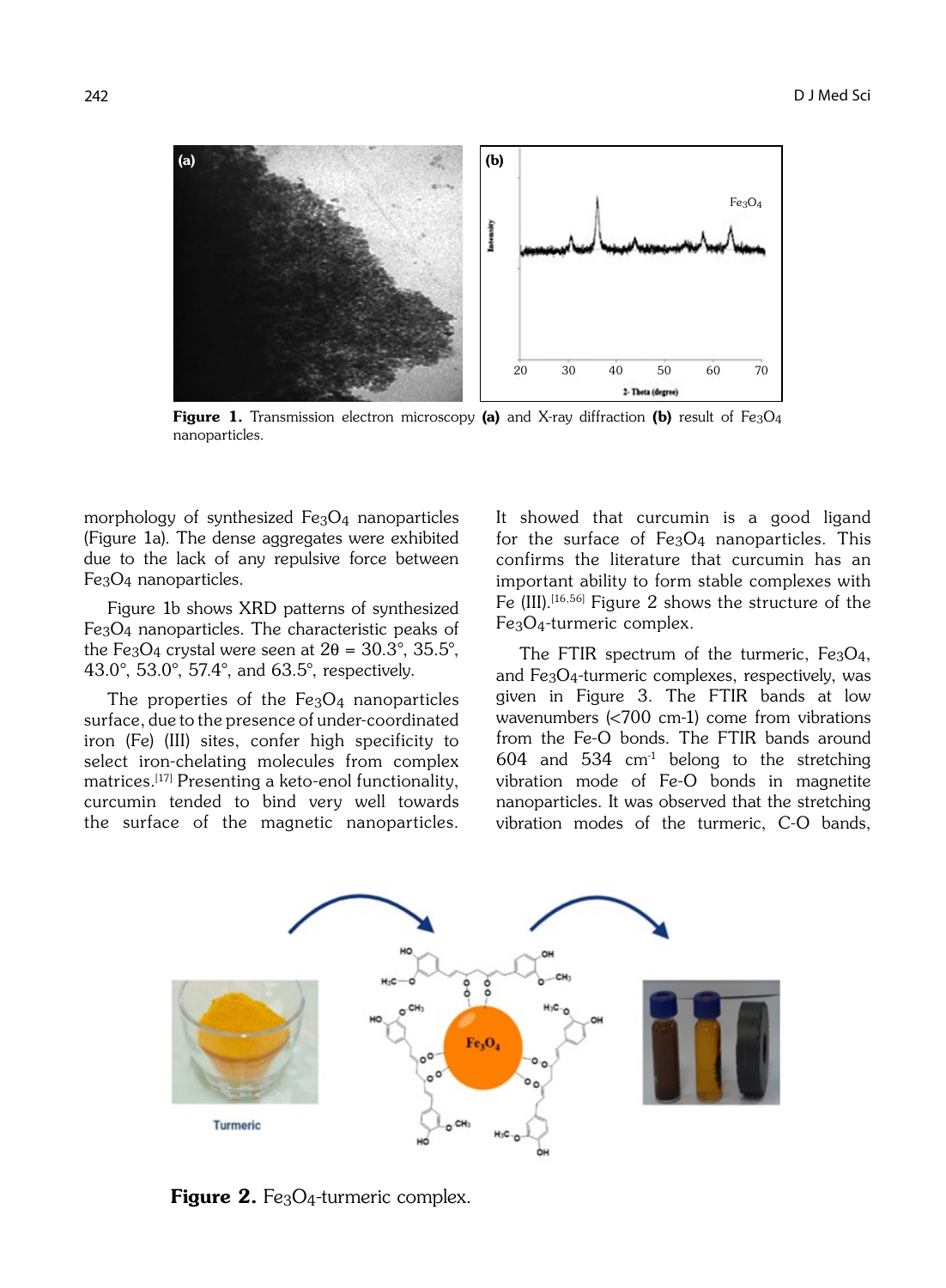

**Figure 1.** Transmission electron microscopy (a) and X-ray diffraction (b) result of Fe<sub>3</sub>O<sub>4</sub> nanoparticles.

morphology of synthesized Fe3O4 nanoparticles (Figure 1a). The dense aggregates were exhibited due to the lack of any repulsive force between Fe3O4 nanoparticles.

Figure 1b shows XRD patterns of synthesized Fe3O4 nanoparticles. The characteristic peaks of the Fe<sub>3</sub>O<sub>4</sub> crystal were seen at  $2\theta = 30.3^{\circ}, 35.5^{\circ}$ , 43.0°, 53.0°, 57.4°, and 63.5°, respectively.

The properties of the  $Fe<sub>3</sub>O<sub>4</sub>$  nanoparticles surface, due to the presence of under-coordinated iron (Fe) (III) sites, confer high specificity to select iron-chelating molecules from complex matrices.[17] Presenting a keto-enol functionality, curcumin tended to bind very well towards the surface of the magnetic nanoparticles.

It showed that curcumin is a good ligand for the surface of Fe3O4 nanoparticles. This confirms the literature that curcumin has an important ability to form stable complexes with Fe  $(III)$ .<sup>[16,56]</sup> Figure 2 shows the structure of the Fe3O4-turmeric complex.

The FTIR spectrum of the turmeric,  $Fe<sub>3</sub>O<sub>4</sub>$ , and Fe3O4-turmeric complexes, respectively, was given in Figure 3. The FTIR bands at low wavenumbers (<700 cm-1) come from vibrations from the Fe-O bonds. The FTIR bands around 604 and 534 cm<sup>1</sup> belong to the stretching vibration mode of Fe-O bonds in magnetite nanoparticles. It was observed that the stretching vibration modes of the turmeric, C-O bands,



**Figure 2.** Fe<sub>3</sub>O<sub>4</sub>-turmeric complex.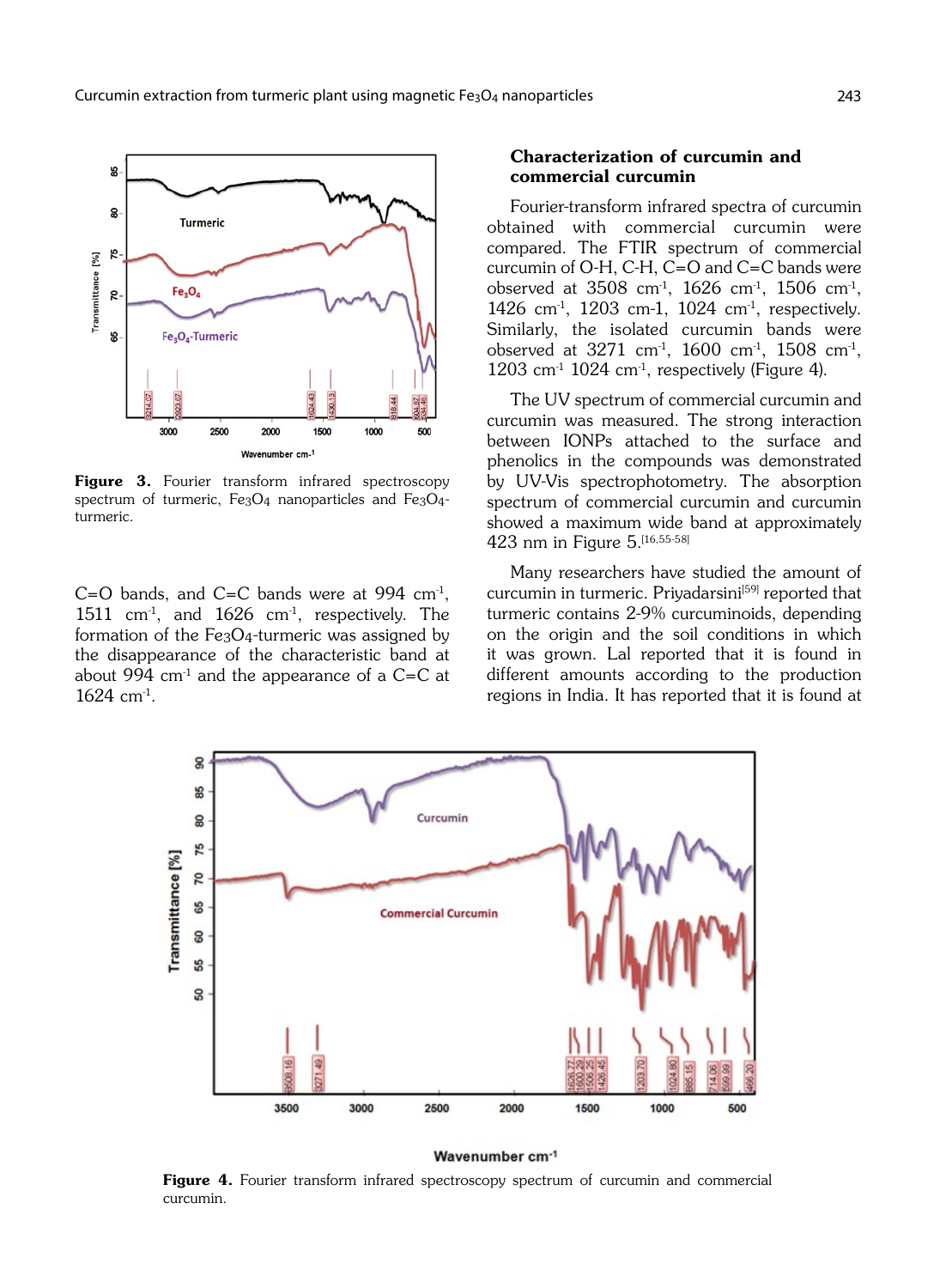

Figure 3. Fourier transform infrared spectroscopy spectrum of turmeric,  $Fe<sub>3</sub>O<sub>4</sub>$  nanoparticles and  $Fe<sub>3</sub>O<sub>4</sub>$ turmeric.

 $C=O$  bands, and  $C=C$  bands were at 994 cm<sup>-1</sup>, 1511 cm<sup>1</sup>, and 1626 cm<sup>1</sup>, respectively. The formation of the Fe3O4-turmeric was assigned by the disappearance of the characteristic band at about 994  $cm<sup>-1</sup>$  and the appearance of a C=C at  $1624 \, \text{cm}^3$ .

### Characterization of curcumin and commercial curcumin

Fourier-transform infrared spectra of curcumin obtained with commercial curcumin were compared. The FTIR spectrum of commercial curcumin of O-H, C-H, C=O and C=C bands were observed at  $3508 \text{ cm}^1$ ,  $1626 \text{ cm}^1$ ,  $1506 \text{ cm}^1$ , 1426 cm-1, 1203 cm-1, 1024 cm-1, respectively. Similarly, the isolated curcumin bands were observed at  $3271$  cm<sup>-1</sup>,  $1600$  cm<sup>-1</sup>,  $1508$  cm<sup>-1</sup>,  $1203$  cm<sup>-1</sup>  $1024$  cm<sup>-1</sup>, respectively (Figure 4).

The UV spectrum of commercial curcumin and curcumin was measured. The strong interaction between IONPs attached to the surface and phenolics in the compounds was demonstrated by UV-Vis spectrophotometry. The absorption spectrum of commercial curcumin and curcumin showed a maximum wide band at approximately 423 nm in Figure 5.[16,55-58]

Many researchers have studied the amount of curcumin in turmeric. Priyadarsini<sup>[59]</sup> reported that turmeric contains 2-9% curcuminoids, depending on the origin and the soil conditions in which it was grown. Lal reported that it is found in different amounts according to the production regions in India. It has reported that it is found at



#### Wavenumber cm<sup>-1</sup>

**Figure 4.** Fourier transform infrared spectroscopy spectrum of curcumin and commercial curcumin.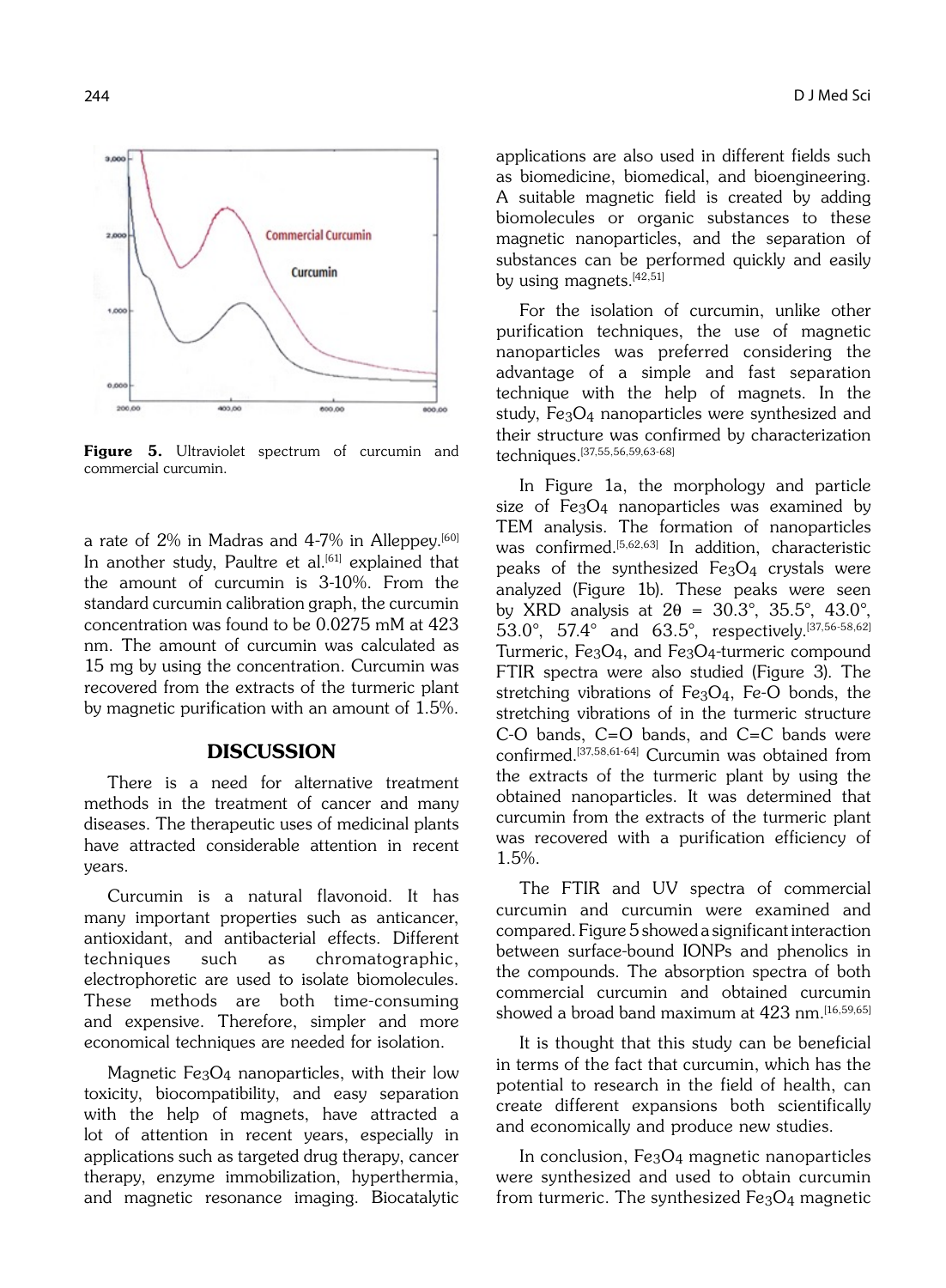

Figure 5. Ultraviolet spectrum of curcumin and commercial curcumin.

a rate of  $2\%$  in Madras and  $4\n-7\%$  in Alleppey.<sup>[60]</sup> In another study. Paultre et al.<sup>[61]</sup> explained that the amount of curcumin is 3-10%. From the standard curcumin calibration graph, the curcumin concentration was found to be 0.0275 mM at 423 nm. The amount of curcumin was calculated as 15 mg by using the concentration. Curcumin was recovered from the extracts of the turmeric plant by magnetic purification with an amount of 1.5%.

# **DISCUSSION**

There is a need for alternative treatment methods in the treatment of cancer and many diseases. The therapeutic uses of medicinal plants have attracted considerable attention in recent years.

Curcumin is a natural flavonoid. It has many important properties such as anticancer, antioxidant, and antibacterial effects. Different techniques such as chromatographic, electrophoretic are used to isolate biomolecules. These methods are both time-consuming and expensive. Therefore, simpler and more economical techniques are needed for isolation.

Magnetic Fe3O4 nanoparticles, with their low toxicity, biocompatibility, and easy separation with the help of magnets, have attracted a lot of attention in recent years, especially in applications such as targeted drug therapy, cancer therapy, enzyme immobilization, hyperthermia, and magnetic resonance imaging. Biocatalytic applications are also used in different fields such as biomedicine, biomedical, and bioengineering. A suitable magnetic field is created by adding biomolecules or organic substances to these magnetic nanoparticles, and the separation of substances can be performed quickly and easily by using magnets.<sup>[42,51]</sup>

For the isolation of curcumin, unlike other purification techniques, the use of magnetic nanoparticles was preferred considering the advantage of a simple and fast separation technique with the help of magnets. In the study, Fe3O4 nanoparticles were synthesized and their structure was confirmed by characterization techniques.[37,55,56,59,63-68]

In Figure 1a, the morphology and particle size of Fe<sub>3</sub>O<sub>4</sub> nanoparticles was examined by TEM analysis. The formation of nanoparticles was confirmed.<sup>[5,62,63]</sup> In addition, characteristic peaks of the synthesized Fe3O4 crystals were analyzed (Figure 1b). These peaks were seen by XRD analysis at  $2\theta = 30.3^{\circ}$ ,  $35.5^{\circ}$ ,  $43.0^{\circ}$ , 53.0°, 57.4° and 63.5°, respectively.[37,56-58,62] Turmeric, Fe3O4, and Fe3O4-turmeric compound FTIR spectra were also studied (Figure 3). The stretching vibrations of Fe3O4, Fe-O bonds, the stretching vibrations of in the turmeric structure C-O bands, C=O bands, and C=C bands were confirmed.[37,58,61-64] Curcumin was obtained from the extracts of the turmeric plant by using the obtained nanoparticles. It was determined that curcumin from the extracts of the turmeric plant was recovered with a purification efficiency of 1.5%.

The FTIR and UV spectra of commercial curcumin and curcumin were examined and compared. Figure 5 showed a significant interaction between surface-bound IONPs and phenolics in the compounds. The absorption spectra of both commercial curcumin and obtained curcumin showed a broad band maximum at 423 nm.[16,59,65]

It is thought that this study can be beneficial in terms of the fact that curcumin, which has the potential to research in the field of health, can create different expansions both scientifically and economically and produce new studies.

In conclusion, Fe3O4 magnetic nanoparticles were synthesized and used to obtain curcumin from turmeric. The synthesized  $Fe<sub>3</sub>O<sub>4</sub>$  magnetic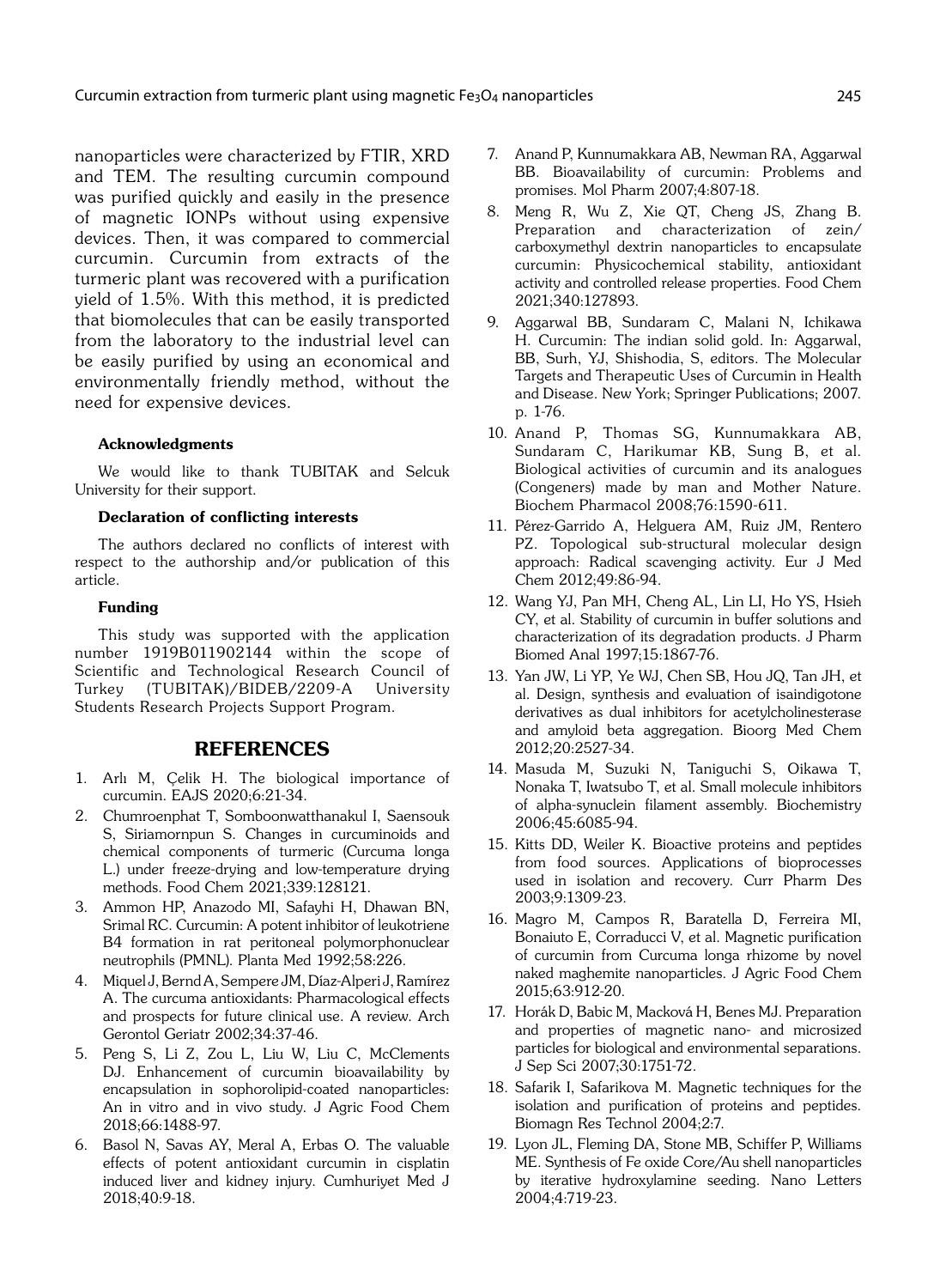nanoparticles were characterized by FTIR, XRD and TEM. The resulting curcumin compound was purified quickly and easily in the presence of magnetic IONPs without using expensive devices. Then, it was compared to commercial curcumin. Curcumin from extracts of the turmeric plant was recovered with a purification yield of 1.5%. With this method, it is predicted that biomolecules that can be easily transported from the laboratory to the industrial level can be easily purified by using an economical and environmentally friendly method, without the need for expensive devices.

#### Acknowledgments

We would like to thank TUBITAK and Selcuk University for their support.

#### Declaration of conflicting interests

The authors declared no conflicts of interest with respect to the authorship and/or publication of this article.

#### Funding

This study was supported with the application number 1919B011902144 within the scope of Scientific and Technological Research Council of Turkey (TUBITAK)/BIDEB/2209-A University Students Research Projects Support Program.

#### REFERENCES

- 1. Arlı M, Çelik H. The biological importance of curcumin. EAJS 2020;6:21-34.
- 2. Chumroenphat T, Somboonwatthanakul I, Saensouk S, Siriamornpun S. Changes in curcuminoids and chemical components of turmeric (Curcuma longa L.) under freeze-drying and low-temperature drying methods. Food Chem 2021;339:128121.
- 3. Ammon HP, Anazodo MI, Safayhi H, Dhawan BN, Srimal RC. Curcumin: A potent inhibitor of leukotriene B4 formation in rat peritoneal polymorphonuclear neutrophils (PMNL). Planta Med 1992;58:226.
- 4. Miquel J, Bernd A, Sempere JM, Díaz-Alperi J, Ramírez A. The curcuma antioxidants: Pharmacological effects and prospects for future clinical use. A review. Arch Gerontol Geriatr 2002;34:37-46.
- 5. Peng S, Li Z, Zou L, Liu W, Liu C, McClements DJ. Enhancement of curcumin bioavailability by encapsulation in sophorolipid-coated nanoparticles: An in vitro and in vivo study. J Agric Food Chem 2018;66:1488-97.
- 6. Basol N, Savas AY, Meral A, Erbas O. The valuable effects of potent antioxidant curcumin in cisplatin induced liver and kidney injury. Cumhuriyet Med J 2018;40:9-18.
- 7. Anand P, Kunnumakkara AB, Newman RA, Aggarwal BB. Bioavailability of curcumin: Problems and promises. Mol Pharm 2007;4:807-18.
- 8. Meng R, Wu Z, Xie QT, Cheng JS, Zhang B. Preparation and characterization of zein/ carboxymethyl dextrin nanoparticles to encapsulate curcumin: Physicochemical stability, antioxidant activity and controlled release properties. Food Chem 2021;340:127893.
- 9. Aggarwal BB, Sundaram C, Malani N, Ichikawa H. Curcumin: The indian solid gold. In: Aggarwal, BB, Surh, YJ, Shishodia, S, editors. The Molecular Targets and Therapeutic Uses of Curcumin in Health and Disease. New York; Springer Publications; 2007. p. 1-76.
- 10. Anand P, Thomas SG, Kunnumakkara AB, Sundaram C, Harikumar KB, Sung B, et al. Biological activities of curcumin and its analogues (Congeners) made by man and Mother Nature. Biochem Pharmacol 2008;76:1590-611.
- 11. Pérez-Garrido A, Helguera AM, Ruiz JM, Rentero PZ. Topological sub-structural molecular design approach: Radical scavenging activity. Eur J Med Chem 2012;49:86-94.
- 12. Wang YJ, Pan MH, Cheng AL, Lin LI, Ho YS, Hsieh CY, et al. Stability of curcumin in buffer solutions and characterization of its degradation products. J Pharm Biomed Anal 1997;15:1867-76.
- 13. Yan JW, Li YP, Ye WJ, Chen SB, Hou JQ, Tan JH, et al. Design, synthesis and evaluation of isaindigotone derivatives as dual inhibitors for acetylcholinesterase and amyloid beta aggregation. Bioorg Med Chem 2012;20:2527-34.
- 14. Masuda M, Suzuki N, Taniguchi S, Oikawa T, Nonaka T, Iwatsubo T, et al. Small molecule inhibitors of alpha-synuclein filament assembly. Biochemistry 2006;45:6085-94.
- 15. Kitts DD, Weiler K. Bioactive proteins and peptides from food sources. Applications of bioprocesses used in isolation and recovery. Curr Pharm Des 2003;9:1309-23.
- 16. Magro M, Campos R, Baratella D, Ferreira MI, Bonaiuto E, Corraducci V, et al. Magnetic purification of curcumin from Curcuma longa rhizome by novel naked maghemite nanoparticles. J Agric Food Chem 2015;63:912-20.
- 17. Horák D, Babic M, Macková H, Benes MJ. Preparation and properties of magnetic nano- and microsized particles for biological and environmental separations. J Sep Sci 2007;30:1751-72.
- 18. Safarik I, Safarikova M. Magnetic techniques for the isolation and purification of proteins and peptides. Biomagn Res Technol 2004;2:7.
- 19. Lyon JL, Fleming DA, Stone MB, Schiffer P, Williams ME. Synthesis of Fe oxide Core/Au shell nanoparticles by iterative hydroxylamine seeding. Nano Letters 2004;4:719-23.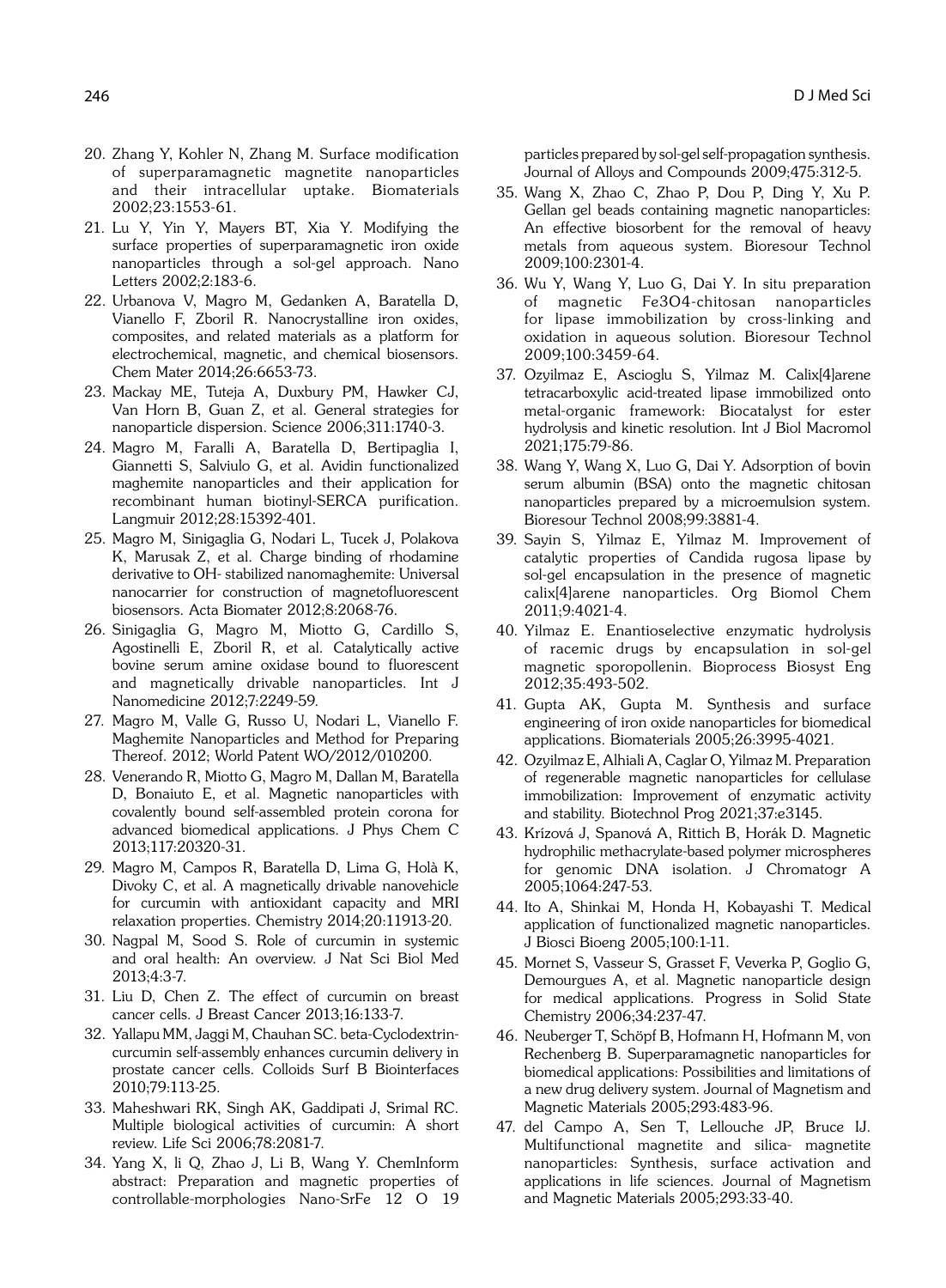- 20. Zhang Y, Kohler N, Zhang M. Surface modification of superparamagnetic magnetite nanoparticles and their intracellular uptake. Biomaterials 2002;23:1553-61.
- 21. Lu Y, Yin Y, Mayers BT, Xia Y. Modifying the surface properties of superparamagnetic iron oxide nanoparticles through a sol-gel approach. Nano Letters 2002;2:183-6.
- 22. Urbanova V, Magro M, Gedanken A, Baratella D, Vianello F, Zboril R. Nanocrystalline iron oxides, composites, and related materials as a platform for electrochemical, magnetic, and chemical biosensors. Chem Mater 2014;26:6653-73.
- 23. Mackay ME, Tuteja A, Duxbury PM, Hawker CJ, Van Horn B, Guan Z, et al. General strategies for nanoparticle dispersion. Science 2006;311:1740-3.
- 24. Magro M, Faralli A, Baratella D, Bertipaglia I, Giannetti S, Salviulo G, et al. Avidin functionalized maghemite nanoparticles and their application for recombinant human biotinyl-SERCA purification. Langmuir 2012;28:15392-401.
- 25. Magro M, Sinigaglia G, Nodari L, Tucek J, Polakova K, Marusak Z, et al. Charge binding of rhodamine derivative to OH- stabilized nanomaghemite: Universal nanocarrier for construction of magnetofluorescent biosensors. Acta Biomater 2012;8:2068-76.
- 26. Sinigaglia G, Magro M, Miotto G, Cardillo S, Agostinelli E, Zboril R, et al. Catalytically active bovine serum amine oxidase bound to fluorescent and magnetically drivable nanoparticles. Int J Nanomedicine 2012;7:2249-59.
- 27. Magro M, Valle G, Russo U, Nodari L, Vianello F. Maghemite Nanoparticles and Method for Preparing Thereof. 2012; World Patent WO/2012/010200.
- 28. Venerando R, Miotto G, Magro M, Dallan M, Baratella D, Bonaiuto E, et al. Magnetic nanoparticles with covalently bound self-assembled protein corona for advanced biomedical applications. J Phys Chem C 2013;117:20320-31.
- 29. Magro M, Campos R, Baratella D, Lima G, Holà K, Divoky C, et al. A magnetically drivable nanovehicle for curcumin with antioxidant capacity and MRI relaxation properties. Chemistry 2014;20:11913-20.
- 30. Nagpal M, Sood S. Role of curcumin in systemic and oral health: An overview. J Nat Sci Biol Med 2013;4:3-7.
- 31. Liu D, Chen Z. The effect of curcumin on breast cancer cells. J Breast Cancer 2013;16:133-7.
- 32. Yallapu MM, Jaggi M, Chauhan SC. beta-Cyclodextrincurcumin self-assembly enhances curcumin delivery in prostate cancer cells. Colloids Surf B Biointerfaces 2010;79:113-25.
- 33. Maheshwari RK, Singh AK, Gaddipati J, Srimal RC. Multiple biological activities of curcumin: A short review. Life Sci 2006;78:2081-7.
- 34. Yang X, li Q, Zhao J, Li B, Wang Y. ChemInform abstract: Preparation and magnetic properties of controllable-morphologies Nano-SrFe 12 O 19

particles prepared by sol-gel self-propagation synthesis. Journal of Alloys and Compounds 2009;475:312-5.

- 35. Wang X, Zhao C, Zhao P, Dou P, Ding Y, Xu P. Gellan gel beads containing magnetic nanoparticles: An effective biosorbent for the removal of heavy metals from aqueous system. Bioresour Technol 2009;100:2301-4.
- 36. Wu Y, Wang Y, Luo G, Dai Y. In situ preparation of magnetic Fe3O4-chitosan nanoparticles for lipase immobilization by cross-linking and oxidation in aqueous solution. Bioresour Technol 2009;100:3459-64.
- 37. Ozyilmaz E, Ascioglu S, Yilmaz M. Calix[4]arene tetracarboxylic acid-treated lipase immobilized onto metal-organic framework: Biocatalyst for ester hydrolysis and kinetic resolution. Int J Biol Macromol 2021;175:79-86.
- 38. Wang Y, Wang X, Luo G, Dai Y. Adsorption of bovin serum albumin (BSA) onto the magnetic chitosan nanoparticles prepared by a microemulsion system. Bioresour Technol 2008;99:3881-4.
- 39. Sayin S, Yilmaz E, Yilmaz M. Improvement of catalytic properties of Candida rugosa lipase by sol-gel encapsulation in the presence of magnetic calix[4]arene nanoparticles. Org Biomol Chem 2011;9:4021-4.
- 40. Yilmaz E. Enantioselective enzymatic hydrolysis of racemic drugs by encapsulation in sol-gel magnetic sporopollenin. Bioprocess Biosyst Eng 2012;35:493-502.
- 41. Gupta AK, Gupta M. Synthesis and surface engineering of iron oxide nanoparticles for biomedical applications. Biomaterials 2005;26:3995-4021.
- 42. Ozyilmaz E, Alhiali A, Caglar O, Yilmaz M. Preparation of regenerable magnetic nanoparticles for cellulase immobilization: Improvement of enzymatic activity and stability. Biotechnol Prog 2021;37:e3145.
- 43. Krízová J, Spanová A, Rittich B, Horák D. Magnetic hydrophilic methacrylate-based polymer microspheres for genomic DNA isolation. J Chromatogr A 2005;1064:247-53.
- 44. Ito A, Shinkai M, Honda H, Kobayashi T. Medical application of functionalized magnetic nanoparticles. J Biosci Bioeng 2005;100:1-11.
- 45. Mornet S, Vasseur S, Grasset F, Veverka P, Goglio G, Demourgues A, et al. Magnetic nanoparticle design for medical applications. Progress in Solid State Chemistry 2006;34:237-47.
- 46. Neuberger T, Schöpf B, Hofmann H, Hofmann M, von Rechenberg B. Superparamagnetic nanoparticles for biomedical applications: Possibilities and limitations of a new drug delivery system. Journal of Magnetism and Magnetic Materials 2005;293:483-96.
- 47. del Campo A, Sen T, Lellouche JP, Bruce IJ. Multifunctional magnetite and silica- magnetite nanoparticles: Synthesis, surface activation and applications in life sciences. Journal of Magnetism and Magnetic Materials 2005;293:33-40.